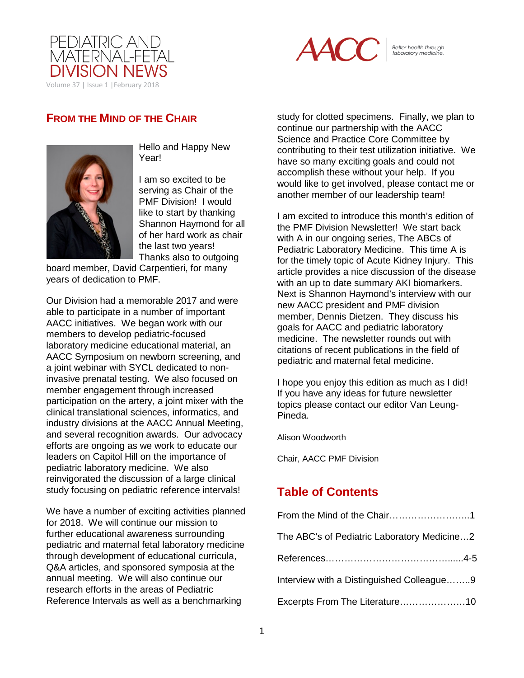



Better health through<br>laboratory medicine.

## **FROM THE MIND OF THE CHAIR**



Hello and Happy New Year!

I am so excited to be serving as Chair of the PMF Division! I would like to start by thanking Shannon Haymond for all of her hard work as chair the last two years! Thanks also to outgoing

board member, David Carpentieri, for many years of dedication to PMF.

Our Division had a memorable 2017 and were able to participate in a number of important AACC initiatives. We began work with our members to develop pediatric-focused laboratory medicine educational material, an AACC Symposium on newborn screening, and a joint webinar with SYCL dedicated to noninvasive prenatal testing. We also focused on member engagement through increased participation on the artery, a joint mixer with the clinical translational sciences, informatics, and industry divisions at the AACC Annual Meeting, and several recognition awards. Our advocacy efforts are ongoing as we work to educate our leaders on Capitol Hill on the importance of pediatric laboratory medicine. We also reinvigorated the discussion of a large clinical study focusing on pediatric reference intervals!

We have a number of exciting activities planned for 2018. We will continue our mission to further educational awareness surrounding pediatric and maternal fetal laboratory medicine through development of educational curricula, Q&A articles, and sponsored symposia at the annual meeting. We will also continue our research efforts in the areas of Pediatric Reference Intervals as well as a benchmarking

study for clotted specimens. Finally, we plan to continue our partnership with the AACC Science and Practice Core Committee by contributing to their test utilization initiative. We have so many exciting goals and could not accomplish these without your help. If you would like to get involved, please contact me or another member of our leadership team!

I am excited to introduce this month's edition of the PMF Division Newsletter! We start back with A in our ongoing series, The ABCs of Pediatric Laboratory Medicine. This time A is for the timely topic of Acute Kidney Injury. This article provides a nice discussion of the disease with an up to date summary AKI biomarkers. Next is Shannon Haymond's interview with our new AACC president and PMF division member, Dennis Dietzen. They discuss his goals for AACC and pediatric laboratory medicine. The newsletter rounds out with citations of recent publications in the field of pediatric and maternal fetal medicine.

I hope you enjoy this edition as much as I did! If you have any ideas for future newsletter topics please contact our editor Van Leung-Pineda.

Alison Woodworth

Chair, AACC PMF Division

# **Table of Contents**

| The ABC's of Pediatric Laboratory Medicine2 |
|---------------------------------------------|
|                                             |
| Interview with a Distinguished Colleague9   |
|                                             |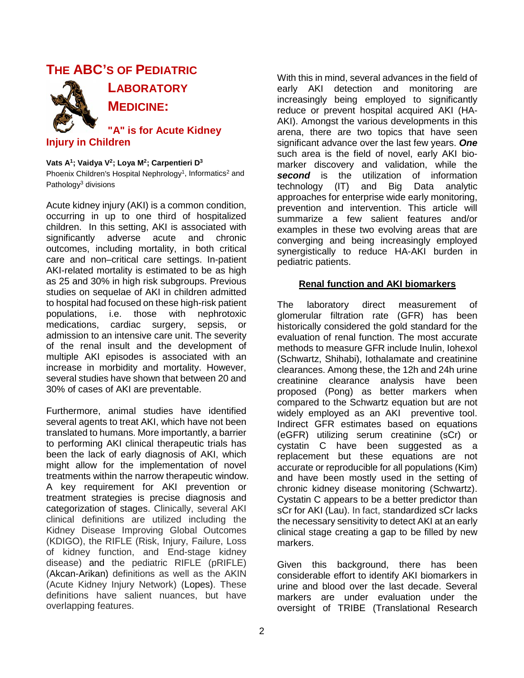# **THE ABC'S OF PEDIATRIC**



**LABORATORY MEDICINE:**

**"A" is for Acute Kidney Injury in Children**

**Vats A1; Vaidya V2; Loya M2; Carpentieri D3** Phoenix Children's Hospital Nephrology<sup>1</sup>, Informatics<sup>2</sup> and Pathology<sup>3</sup> divisions

Acute kidney injury (AKI) is a common condition, occurring in up to one third of hospitalized children. In this setting, AKI is associated with significantly adverse acute and chronic outcomes, including mortality, in both critical care and non–critical care settings. In-patient AKI-related mortality is estimated to be as high as 25 and 30% in high risk subgroups. Previous studies on sequelae of AKI in children admitted to hospital had focused on these high-risk patient populations, i.e. those with nephrotoxic medications, cardiac surgery, sepsis, or admission to an intensive care unit. The severity of the renal insult and the development of multiple AKI episodes is associated with an increase in morbidity and mortality. However, several studies have shown that between 20 and 30% of cases of AKI are preventable.

Furthermore, animal studies have identified several agents to treat AKI, which have not been translated to humans. More importantly, a barrier to performing AKI clinical therapeutic trials has been the lack of early diagnosis of AKI, which might allow for the implementation of novel treatments within the narrow therapeutic window. A key requirement for AKI prevention or treatment strategies is precise diagnosis and categorization of stages. Clinically, several AKI clinical definitions are utilized including the Kidney Disease Improving Global Outcomes (KDIGO), the RIFLE (Risk, Injury, Failure, Loss of kidney function, and End-stage kidney disease) and the pediatric RIFLE (pRIFLE) (Akcan-Arikan) definitions as well as the AKIN (Acute Kidney Injury Network) (Lopes). These definitions have salient nuances, but have overlapping features.

With this in mind, several advances in the field of early AKI detection and monitoring are increasingly being employed to significantly reduce or prevent hospital acquired AKI (HA-AKI). Amongst the various developments in this arena, there are two topics that have seen significant advance over the last few years. *One* such area is the field of novel, early AKI biomarker discovery and validation, while the **second** is the utilization of information technology (IT) and Big Data analytic approaches for enterprise wide early monitoring, prevention and intervention. This article will summarize a few salient features and/or examples in these two evolving areas that are converging and being increasingly employed synergistically to reduce HA-AKI burden in pediatric patients.

### **Renal function and AKI biomarkers**

The laboratory direct measurement of glomerular filtration rate (GFR) has been historically considered the gold standard for the evaluation of renal function. The most accurate methods to measure GFR include Inulin, Iohexol (Schwartz, Shihabi), Iothalamate and creatinine clearances. Among these, the 12h and 24h urine creatinine clearance analysis have been proposed (Pong) as better markers when compared to the Schwartz equation but are not widely employed as an AKI preventive tool. Indirect GFR estimates based on equations (eGFR) utilizing serum creatinine (sCr) or cystatin C have been suggested as a replacement but these equations are not accurate or reproducible for all populations (Kim) and have been mostly used in the setting of chronic kidney disease monitoring (Schwartz). Cystatin C appears to be a better predictor than sCr for AKI (Lau). In fact, standardized sCr lacks the necessary sensitivity to detect AKI at an early clinical stage creating a gap to be filled by new markers.

Given this background, there has been considerable effort to identify AKI biomarkers in urine and blood over the last decade. Several markers are under evaluation under the oversight of TRIBE (Translational Research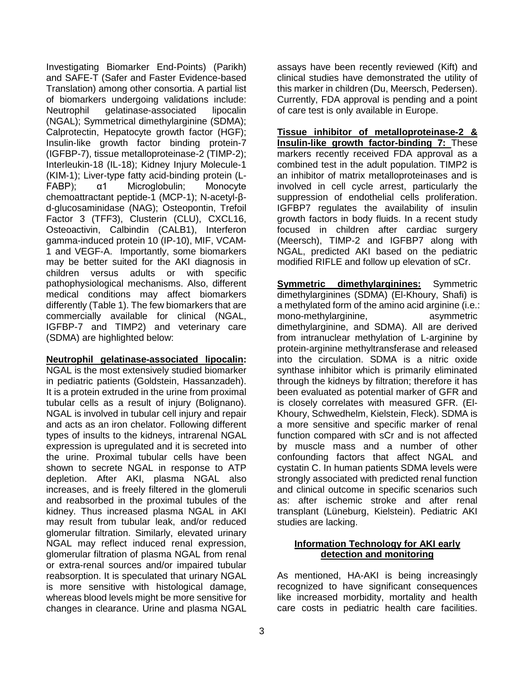Investigating Biomarker End-Points) (Parikh) and SAFE-T (Safer and Faster Evidence-based Translation) among other consortia. A partial list of biomarkers undergoing validations include: Neutrophil gelatinase-associated lipocalin (NGAL); Symmetrical dimethylarginine (SDMA); Calprotectin, Hepatocyte growth factor (HGF); Insulin-like growth factor binding protein-7 (IGFBP-7), tissue metalloproteinase-2 (TIMP-2); Interleukin-18 (IL-18); Kidney Injury Molecule-1 (KIM-1); Liver-type fatty acid-binding protein (L-FABP); α1 Microglobulin; Monocyte chemoattractant peptide-1 (MCP-1); N-acetyl-βd-glucosaminidase (NAG); Osteopontin, Trefoil Factor 3 (TFF3), Clusterin (CLU), CXCL16, Osteoactivin, Calbindin (CALB1), Interferon gamma-induced protein 10 (IP-10), MIF, VCAM-1 and VEGF-A. Importantly, some biomarkers may be better suited for the AKI diagnosis in children versus adults or with specific pathophysiological mechanisms. Also, different medical conditions may affect biomarkers differently (Table 1). The few biomarkers that are commercially available for clinical (NGAL, IGFBP-7 and TIMP2) and veterinary care (SDMA) are highlighted below:

### **Neutrophil gelatinase-associated lipocalin:**

NGAL is the most extensively studied biomarker in pediatric patients (Goldstein, Hassanzadeh). It is a protein extruded in the urine from proximal tubular cells as a result of injury (Bolignano). NGAL is involved in tubular cell injury and repair and acts as an iron chelator. Following different types of insults to the kidneys, intrarenal NGAL expression is upregulated and it is secreted into the urine. Proximal tubular cells have been shown to secrete NGAL in response to ATP depletion. After AKI, plasma NGAL also increases, and is freely filtered in the glomeruli and reabsorbed in the proximal tubules of the kidney. Thus increased plasma NGAL in AKI may result from tubular leak, and/or reduced glomerular filtration. Similarly, elevated urinary NGAL may reflect induced renal expression, glomerular filtration of plasma NGAL from renal or extra-renal sources and/or impaired tubular reabsorption. It is speculated that urinary NGAL is more sensitive with histological damage, whereas blood levels might be more sensitive for changes in clearance. Urine and plasma NGAL

assays have been recently reviewed (Kift) and clinical studies have demonstrated the utility of this marker in children (Du, Meersch, Pedersen). Currently, FDA approval is pending and a point of care test is only available in Europe.

**Tissue inhibitor of metalloproteinase-2 & Insulin-like growth factor-binding 7:** These markers recently received FDA approval as a combined test in the adult population. TIMP2 is an inhibitor of matrix metalloproteinases and is involved in cell cycle arrest, particularly the suppression of endothelial cells proliferation. IGFBP7 regulates the availability of insulin growth factors in body fluids. In a recent study focused in children after cardiac surgery (Meersch), TIMP-2 and IGFBP7 along with NGAL, predicted AKI based on the pediatric modified RIFLE and follow up elevation of sCr.

**Symmetric dimethylarginines:** Symmetric dimethylarginines (SDMA) (El-Khoury, Shafi) is a methylated form of the amino acid arginine (i.e.: mono-methylarginine, asymmetric dimethylarginine, and SDMA). All are derived from intranuclear methylation of L-arginine by protein-arginine methyltransferase and released into the circulation. SDMA is a nitric oxide synthase inhibitor which is primarily eliminated through the kidneys by filtration; therefore it has been evaluated as potential marker of GFR and is closely correlates with measured GFR. (El-Khoury, Schwedhelm, Kielstein, Fleck). SDMA is a more sensitive and specific marker of renal function compared with sCr and is not affected by muscle mass and a number of other confounding factors that affect NGAL and cystatin C. In human patients SDMA levels were strongly associated with predicted renal function and clinical outcome in specific scenarios such as: after ischemic stroke and after renal transplant (Lüneburg, Kielstein). Pediatric AKI studies are lacking.

### **Information Technology for AKI early detection and monitoring**

As mentioned, HA-AKI is being increasingly recognized to have significant consequences like increased morbidity, mortality and health care costs in pediatric health care facilities.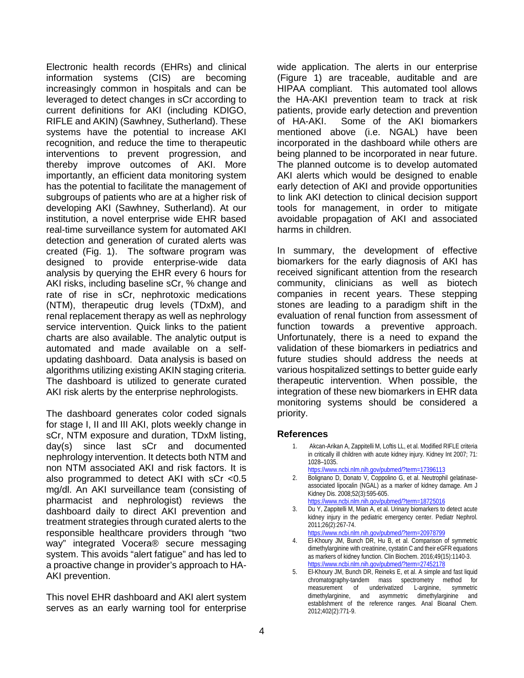Electronic health records (EHRs) and clinical information systems (CIS) are becoming increasingly common in hospitals and can be leveraged to detect changes in sCr according to current definitions for AKI (including KDIGO, RIFLE and AKIN) (Sawhney, Sutherland). These systems have the potential to increase AKI recognition, and reduce the time to therapeutic interventions to prevent progression, and thereby improve outcomes of AKI. More importantly, an efficient data monitoring system has the potential to facilitate the management of subgroups of patients who are at a higher risk of developing AKI (Sawhney, Sutherland). At our institution, a novel enterprise wide EHR based real-time surveillance system for automated AKI detection and generation of curated alerts was created (Fig. 1). The software program was designed to provide enterprise-wide data analysis by querying the EHR every 6 hours for AKI risks, including baseline sCr, % change and rate of rise in sCr, nephrotoxic medications (NTM), therapeutic drug levels (TDxM), and renal replacement therapy as well as nephrology service intervention. Quick links to the patient charts are also available. The analytic output is automated and made available on a selfupdating dashboard. Data analysis is based on algorithms utilizing existing AKIN staging criteria. The dashboard is utilized to generate curated AKI risk alerts by the enterprise nephrologists.

The dashboard generates color coded signals for stage I, II and III AKI, plots weekly change in sCr, NTM exposure and duration, TDxM listing, day(s) since last sCr and documented nephrology intervention. It detects both NTM and non NTM associated AKI and risk factors. It is also programmed to detect AKI with sCr <0.5 mg/dl. An AKI surveillance team (consisting of pharmacist and nephrologist) reviews the dashboard daily to direct AKI prevention and treatment strategies through curated alerts to the responsible healthcare providers through "two way" integrated Vocera® secure messaging system. This avoids "alert fatigue" and has led to a proactive change in provider's approach to HA-AKI prevention.

This novel EHR dashboard and AKI alert system serves as an early warning tool for enterprise

wide application. The alerts in our enterprise (Figure 1) are traceable, auditable and are HIPAA compliant. This automated tool allows the HA-AKI prevention team to track at risk patients, provide early detection and prevention of HA-AKI. Some of the AKI biomarkers mentioned above (i.e. NGAL) have been incorporated in the dashboard while others are being planned to be incorporated in near future. The planned outcome is to develop automated AKI alerts which would be designed to enable early detection of AKI and provide opportunities to link AKI detection to clinical decision support tools for management, in order to mitigate avoidable propagation of AKI and associated harms in children.

In summary, the development of effective biomarkers for the early diagnosis of AKI has received significant attention from the research community, clinicians as well as biotech companies in recent years. These stepping stones are leading to a paradigm shift in the evaluation of renal function from assessment of function towards a preventive approach. Unfortunately, there is a need to expand the validation of these biomarkers in pediatrics and future studies should address the needs at various hospitalized settings to better guide early therapeutic intervention. When possible, the integration of these new biomarkers in EHR data monitoring systems should be considered a priority.

### **References**

- 1. Akcan-Arikan A, Zappitelli M, Loftis LL, et al. Modified RIFLE criteria in critically ill children with acute kidney injury. Kidney Int 2007; 71: 1028–1035.
- <https://www.ncbi.nlm.nih.gov/pubmed/?term=17396113>
- 2. Bolignano D, Donato V, Coppolino G, et al. Neutrophil gelatinaseassociated lipocalin (NGAL) as a marker of kidney damage. Am J Kidney Dis. 2008;52(3):595-605.
- <https://www.ncbi.nlm.nih.gov/pubmed/?term=18725016>
- 3. Du Y, Zappitelli M, Mian A, et al. Urinary biomarkers to detect acute kidney injury in the pediatric emergency center. Pediatr Nephrol. 2011;26(2):267-74.
- <https://www.ncbi.nlm.nih.gov/pubmed/?term=20978799> 4. El-Khoury JM, Bunch DR, Hu B, et al. Comparison of symmetric dimethylarginine with creatinine, cystatin C and their eGFR equations as markers of kidney function. Clin Biochem. 2016;49(15):1140-3. <https://www.ncbi.nlm.nih.gov/pubmed/?term=27452178>
- 5. El-Khoury JM, Bunch DR, Reineks E, et al. A simple and fast liquid chromatography-tandem mass spectrometry method for<br>measurement of underivatized L-arginine, symmetric measurement of underivatized L-arginine, dimethylarginine, and asymmetric dimethylarginine and establishment of the reference ranges. Anal Bioanal Chem. 2012;402(2):771-9.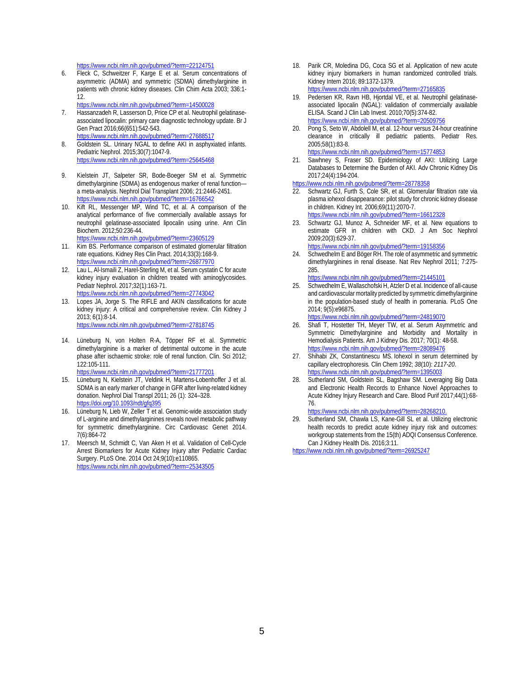<https://www.ncbi.nlm.nih.gov/pubmed/?term=22124751>

6. Fleck C, Schweitzer F, Karge E et al. Serum concentrations of asymmetric (ADMA) and symmetric (SDMA) dimethylarginine in patients with chronic kidney diseases. Clin Chim Acta 2003; 336:1- 12.

<https://www.ncbi.nlm.nih.gov/pubmed/?term=14500028>

- 7. Hassanzadeh R, Lasserson D, Price CP et al. Neutrophil gelatinaseassociated lipocalin: primary care diagnostic technology update. Br J Gen Pract 2016;66(651):542-543. <https://www.ncbi.nlm.nih.gov/pubmed/?term=27688517>
- 8. Goldstein SL. Urinary NGAL to define AKI in asphyxiated infants. Pediatric Nephrol. 2015;30(7):1047-9. <https://www.ncbi.nlm.nih.gov/pubmed/?term=25645468>
- 9. Kielstein JT, Salpeter SR, Bode-Boeger SM et al. Symmetric dimethylarginine (SDMA) as endogenous marker of renal function a meta-analysis. Nephrol Dial Transplant 2006; 21:2446-2451. <https://www.ncbi.nlm.nih.gov/pubmed/?term=16766542>
- 10. Kift RL, Messenger MP, Wind TC, et al. A comparison of the analytical performance of five commercially available assays for neutrophil gelatinase-associated lipocalin using urine. Ann Clin Biochem. 2012;50:236-44. <https://www.ncbi.nlm.nih.gov/pubmed/?term=23605129>
- 11. Kim BS. Performance comparison of estimated glomerular filtration rate equations. Kidney Res Clin Pract. 2014;33(3):168-9. <https://www.ncbi.nlm.nih.gov/pubmed/?term=26877970>
- 12. Lau L, Al-Ismaili Z, Harel-Sterling M, et al. Serum cystatin C for acute kidney injury evaluation in children treated with aminoglycosides. Pediatr Nephrol. 2017;32(1):163-71. <https://www.ncbi.nlm.nih.gov/pubmed/?term=27743042>
- 13. Lopes JA, Jorge S. The RIFLE and AKIN classifications for acute kidney injury: A critical and comprehensive review. Clin Kidney J 2013; 6(1):8-14. <https://www.ncbi.nlm.nih.gov/pubmed/?term=27818745>
- 14. Lüneburg N, von Holten R-A, Töpper RF et al. Symmetric dimethylarginine is a marker of detrimental outcome in the acute phase after ischaemic stroke: role of renal function. Clin. Sci 2012; 122:105-111.
	- <https://www.ncbi.nlm.nih.gov/pubmed/?term=21777201>
- 15. Lüneburg N, Kielstein JT, Veldink H, Martens-Lobenhoffer J et al. SDMA is an early marker of change in GFR after living-related kidney donation. Nephrol Dial Transpl 2011; 26 (1): 324–328. <https://doi.org/10.1093/ndt/gfq395>
- 16. Lüneburg N, Lieb W, Zeller T et al. Genomic-wide association study of L-arginine and dimethylarginines reveals novel metabolic pathway for symmetric dimethylarginine. Circ Cardiovasc Genet 2014. 7(6):864-72
- 17. Meersch M, Schmidt C, Van Aken H et al. Validation of Cell-Cycle Arrest Biomarkers for Acute Kidney Injury after Pediatric Cardiac Surgery[. PLoS One.](https://www.ncbi.nlm.nih.gov/pubmed/?term=Validation+of+Cell-Cycle+Arrest+Biomarkers+for+Acute+Kidney+Injury+after+Pediatric+Cardiac+Surgery) 2014 Oct 24;9(10):e110865. <https://www.ncbi.nlm.nih.gov/pubmed/?term=25343505>
- 18. Parik CR, Moledina DG, Coca SG et al. Application of new acute kidney injury biomarkers in human randomized controlled trials. Kidney Intern 2016; 89:1372-1379. <https://www.ncbi.nlm.nih.gov/pubmed/?term=27165835>
- Pedersen KR, Ravn HB, Hjortdal VE, et al. Neutrophil gelatinaseassociated lipocalin (NGAL): validation of commercially available ELISA. Scand J Clin Lab Invest. 2010;70(5):374-82. <https://www.ncbi.nlm.nih.gov/pubmed/?term=20509756>
- 20. Pong S, Seto W, Abdolell M, et al. 12-hour versus 24-hour creatinine clearance in critically ill pediatric patients. Pediatr Res. 2005;58(1):83-8. <https://www.ncbi.nlm.nih.gov/pubmed/?term=15774853>
- 21. Sawhney S, Fraser SD. Epidemiology of AKI: Utilizing Large Databases to Determine the Burden of AKI. Adv Chronic Kidney Dis 2017;24(4):194-204.
- <https://www.ncbi.nlm.nih.gov/pubmed/?term=28778358>
- 22. Schwartz GJ, Furth S, Cole SR, et al. Glomerular filtration rate via plasma iohexol disappearance: pilot study for chronic kidney disease in children. Kidney Int. 2006;69(11):2070-7. <https://www.ncbi.nlm.nih.gov/pubmed/?term=16612328>
- 23. Schwartz GJ, Munoz A, Schneider MF, et al. New equations to estimate GFR in children with CKD. J Am Soc Nephrol 2009;20(3):629-37. <https://www.ncbi.nlm.nih.gov/pubmed/?term=19158356>
- 24. Schwedhelm E and Böger RH. The role of asymmetric and symmetric dimethylarginines in renal disease. Nat Rev Nephrol 2011; 7:275- 285.

[https://www.ncbi.nlm.nih.gov/pubmed/?term=21445101](https://www.ncbi.nlm.nih.gov/pubmed/?term=21445101%20)

25. Schwedhelm E, Wallaschofski H, Atzler D et al. Incidence of all-cause and cardiovascular mortality predicted by symmetric dimethylarginine in the population-based study of health in pomerania. PLoS One 2014; 9(5):e96875.

[https://www.ncbi.nlm.nih.gov/pubmed/?term=24819070](https://www.ncbi.nlm.nih.gov/pubmed/?term=24819070%20)

- 26. Shafi T, Hostetter TH, Meyer TW, et al. Serum Asymmetric and Symmetric Dimethylarginine and Morbidity and Mortality in Hemodialysis Patients. Am J Kidney Dis. 2017; 70(1): 48-58. <https://www.ncbi.nlm.nih.gov/pubmed/?term=28089476>
- 27. Shihabi ZK, Constantinescu MS. Iohexol in serum determined by capillary electrophoresis*.* Clin Chem 1992; *38*(10): *2117-20*. <https://www.ncbi.nlm.nih.gov/pubmed/?term=1395003>
- 28. Sutherland SM, Goldstein SL, Bagshaw SM. Leveraging Big Data and Electronic Health Records to Enhance Novel Approaches to Acute Kidney Injury Research and Care. Blood Purif 2017;44(1):68- 76.
	- <https://www.ncbi.nlm.nih.gov/pubmed/?term=28268210.>
- 29. Sutherland SM, Chawla LS, Kane-Gill SL et al. Utilizing electronic health records to predict acute kidney injury risk and outcomes: workgroup statements from the 15(th) ADQI Consensus Conference. Can J Kidney Health Dis. 2016;3:11.

<https://www.ncbi.nlm.nih.gov/pubmed/?term=26925247>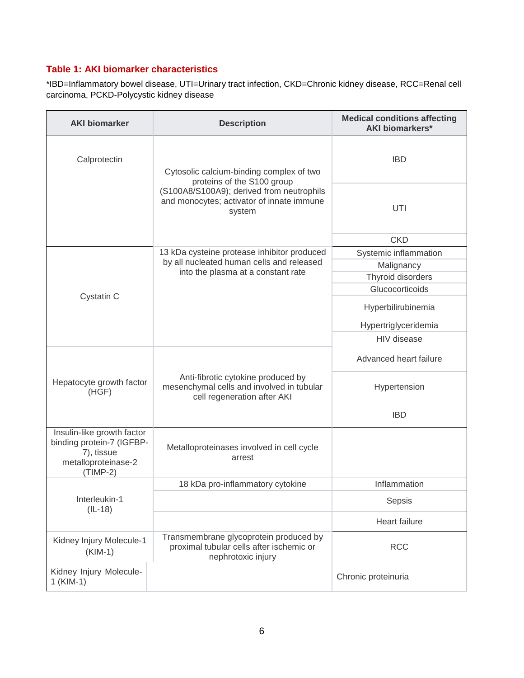### **Table 1: AKI biomarker characteristics**

\*IBD=Inflammatory bowel disease, UTI=Urinary tract infection, CKD=Chronic kidney disease, RCC=Renal cell carcinoma, PCKD-Polycystic kidney disease

| <b>AKI biomarker</b>                                                                                       | <b>Description</b>                                                                                             | <b>Medical conditions affecting</b><br><b>AKI biomarkers*</b> |  |  |  |  |
|------------------------------------------------------------------------------------------------------------|----------------------------------------------------------------------------------------------------------------|---------------------------------------------------------------|--|--|--|--|
| Calprotectin                                                                                               | Cytosolic calcium-binding complex of two<br>proteins of the S100 group                                         | <b>IBD</b>                                                    |  |  |  |  |
|                                                                                                            | (S100A8/S100A9); derived from neutrophils<br>and monocytes; activator of innate immune<br>system               | UTI                                                           |  |  |  |  |
|                                                                                                            |                                                                                                                | <b>CKD</b>                                                    |  |  |  |  |
|                                                                                                            | 13 kDa cysteine protease inhibitor produced                                                                    | Systemic inflammation                                         |  |  |  |  |
|                                                                                                            | by all nucleated human cells and released                                                                      | Malignancy                                                    |  |  |  |  |
|                                                                                                            | into the plasma at a constant rate                                                                             | Thyroid disorders                                             |  |  |  |  |
|                                                                                                            |                                                                                                                | Glucocorticoids                                               |  |  |  |  |
| Cystatin C                                                                                                 |                                                                                                                | Hyperbilirubinemia                                            |  |  |  |  |
|                                                                                                            |                                                                                                                | Hypertriglyceridemia                                          |  |  |  |  |
|                                                                                                            |                                                                                                                | HIV disease                                                   |  |  |  |  |
|                                                                                                            |                                                                                                                | Advanced heart failure                                        |  |  |  |  |
| Hepatocyte growth factor<br>(HGF)                                                                          | Anti-fibrotic cytokine produced by<br>mesenchymal cells and involved in tubular<br>cell regeneration after AKI | Hypertension                                                  |  |  |  |  |
|                                                                                                            |                                                                                                                | <b>IBD</b>                                                    |  |  |  |  |
| Insulin-like growth factor<br>binding protein-7 (IGFBP-<br>7), tissue<br>metalloproteinase-2<br>$(TIMP-2)$ | Metalloproteinases involved in cell cycle<br>arrest                                                            |                                                               |  |  |  |  |
|                                                                                                            | 18 kDa pro-inflammatory cytokine                                                                               | Inflammation                                                  |  |  |  |  |
| Interleukin-1<br>$(IL-18)$                                                                                 |                                                                                                                | Sepsis                                                        |  |  |  |  |
|                                                                                                            |                                                                                                                | Heart failure                                                 |  |  |  |  |
| Kidney Injury Molecule-1<br>$(KIM-1)$                                                                      | Transmembrane glycoprotein produced by<br>proximal tubular cells after ischemic or<br>nephrotoxic injury       | <b>RCC</b>                                                    |  |  |  |  |
| Kidney Injury Molecule-<br>$1$ (KIM-1)                                                                     |                                                                                                                | Chronic proteinuria                                           |  |  |  |  |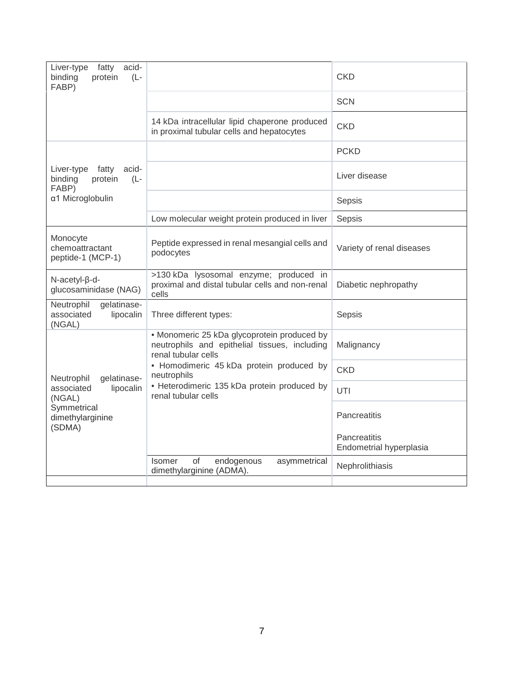| Liver-type<br>fatty<br>acid-<br>binding<br>protein<br>$(L -$<br>FABP) |                                                                                                                     | <b>CKD</b>                              |  |  |  |
|-----------------------------------------------------------------------|---------------------------------------------------------------------------------------------------------------------|-----------------------------------------|--|--|--|
|                                                                       |                                                                                                                     | <b>SCN</b>                              |  |  |  |
|                                                                       | 14 kDa intracellular lipid chaperone produced<br>in proximal tubular cells and hepatocytes                          | <b>CKD</b>                              |  |  |  |
|                                                                       |                                                                                                                     | <b>PCKD</b>                             |  |  |  |
| Liver-type<br>fatty<br>acid-<br>binding<br>protein<br>$(L -$<br>FABP) |                                                                                                                     | Liver disease                           |  |  |  |
| α1 Microglobulin                                                      |                                                                                                                     | Sepsis                                  |  |  |  |
|                                                                       | Low molecular weight protein produced in liver                                                                      | Sepsis                                  |  |  |  |
| Monocyte<br>chemoattractant<br>peptide-1 (MCP-1)                      | Peptide expressed in renal mesangial cells and<br>podocytes                                                         | Variety of renal diseases               |  |  |  |
| N-acetyl-ß-d-<br>glucosaminidase (NAG)                                | >130 kDa lysosomal enzyme; produced in<br>proximal and distal tubular cells and non-renal<br>cells                  | Diabetic nephropathy                    |  |  |  |
| gelatinase-<br>Neutrophil<br>associated<br>lipocalin<br>(NGAL)        | Three different types:                                                                                              | Sepsis                                  |  |  |  |
|                                                                       | • Monomeric 25 kDa glycoprotein produced by<br>neutrophils and epithelial tissues, including<br>renal tubular cells | Malignancy                              |  |  |  |
| gelatinase-<br>Neutrophil                                             | • Homodimeric 45 kDa protein produced by<br>neutrophils                                                             | <b>CKD</b>                              |  |  |  |
| associated<br>lipocalin<br>(NGAL)                                     | • Heterodimeric 135 kDa protein produced by<br>renal tubular cells                                                  | UTI                                     |  |  |  |
| Symmetrical<br>dimethylarginine<br>(SDMA)                             |                                                                                                                     | Pancreatitis                            |  |  |  |
|                                                                       |                                                                                                                     | Pancreatitis<br>Endometrial hyperplasia |  |  |  |
|                                                                       | <b>of</b><br><b>Isomer</b><br>endogenous<br>asymmetrical<br>dimethylarginine (ADMA).                                | Nephrolithiasis                         |  |  |  |
|                                                                       |                                                                                                                     |                                         |  |  |  |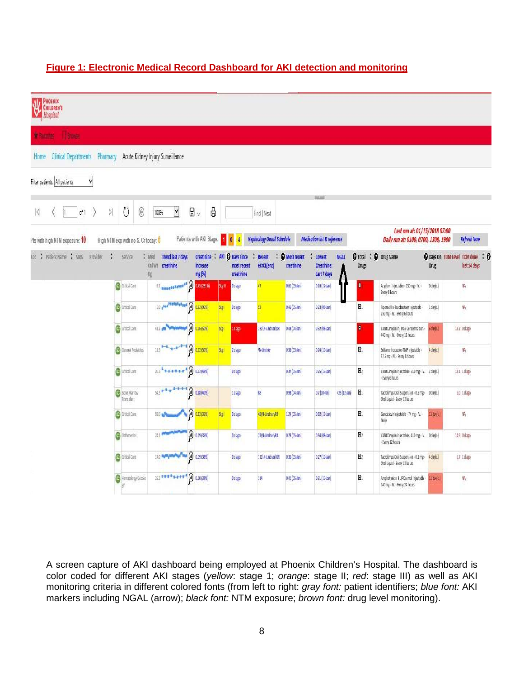## **Figure 1: Electronic Medical Record Dashboard for AKI detection and monitoring**

| CHILDREN'S<br>Hospital                          |   |                                     |                     |                                                |   |                                              |              |                                               |                                   |                                    |                                             |               |                              |                                                                       |                                                 |                    |
|-------------------------------------------------|---|-------------------------------------|---------------------|------------------------------------------------|---|----------------------------------------------|--------------|-----------------------------------------------|-----------------------------------|------------------------------------|---------------------------------------------|---------------|------------------------------|-----------------------------------------------------------------------|-------------------------------------------------|--------------------|
| <b>* Falurites</b><br><b>Brodon</b>             |   |                                     |                     |                                                |   |                                              |              |                                               |                                   |                                    |                                             |               |                              |                                                                       |                                                 |                    |
| <b>Clinical Departments</b><br>Pharmacy<br>Home |   |                                     |                     | Acute Kidney Injury Surveillance               |   |                                              |              |                                               |                                   |                                    |                                             |               |                              |                                                                       |                                                 |                    |
| V<br>Filter patients: All patients              |   |                                     |                     |                                                |   |                                              |              |                                               |                                   |                                    |                                             |               |                              |                                                                       |                                                 |                    |
|                                                 |   |                                     |                     |                                                |   |                                              |              |                                               |                                   |                                    |                                             |               |                              |                                                                       |                                                 |                    |
| D.<br>K<br>of 1<br>Ħ                            |   | Ü<br>Θ                              |                     | $\blacktriangledown$<br>100%                   | 日 | 6<br>$\dot{\mathbf{v}}$                      |              |                                               | Find   Next                       |                                    |                                             |               |                              |                                                                       |                                                 |                    |
| Pts with high NTM exposure: 10                  |   | High NTM exp with no S. Cr today: 6 |                     |                                                |   | Patients with AKI Stage:                     |              | $\overline{4}$                                | <b>Nephrology Oncall Schedule</b> |                                    | <b>Medication list &amp; reference</b>      |               |                              | Last run at: 01/15/2018 07:00<br>Daily run at: 0100, 0700, 1300, 1900 |                                                 | <b>Refresh Now</b> |
| $\frac{1}{2}$<br>Patient Name ; MRN<br>Provider | ÷ | Service                             | Wed<br>cal Wt<br>Kg | <b>Trend last 7 days</b><br>creatinine         |   | Creatinine<br>÷<br><i>increase</i><br>mg (%) |              | AKI & Days since<br>most recent<br>creatinine | Recent<br>eCrCL(enz)              | <b>O</b> Most recent<br>creatinine | Lowest<br><b>Creatinine:</b><br>Last 7 days | <b>NGAL</b>   | <b>O</b> Total<br>÷<br>Drugs | <b>O</b> Drug Name                                                    | O Days On TDM Level TDM done : 0<br><b>Drug</b> | last 14 days       |
|                                                 |   | c) tritical Care                    |                     | 57 <b>RODGERSHERE 4 3 (2014)</b>               |   |                                              | <b>Sig @</b> | 0 dago                                        | 17                                | 0.61 (15 Jan)                      | $0.16(12\sqrt{3n})$                         |               | п                            | Acyclovir Injectable - 130 mg - IV. -<br>Every 8 hours                | O day(s.)                                       | NA                 |
|                                                 |   | Control Care                        |                     | 5.0 and <sup>heaten</sup> shest (a) 0.22 (99%) |   |                                              | Stgi         | 0 dago                                        | $\overline{\mathfrak{D}}$         | 0.45 (15 Jan)                      | 0.23 (08-Jan)                               |               | $H_1$                        | Piperacillin-Tazobactam Injectable<br>250 mg - IV. - Every 6 hours    | 1 day(s.)                                       | ŃĀ                 |
|                                                 |   | <b>O</b> Ditical Care               |                     | 41.2 per management                            | 0 | 0.16(50%                                     | $S_{R}$      | 1 dago                                        | 131\N-Lindner\RR                  | $0.48(14$ Jan                      | 0.32 [08-Jan]                               |               | п                            | VANCOmycin inj Max Concentration -<br>440 mg - IV. - Every 12 hours   | 6 day(s.)                                       | 12.2 0 d ago.      |
|                                                 |   | General Pediatrics                  |                     | 11.5                                           | Θ | 0.12 (50%)                                   | Stgi         | 2 dago                                        | <b>Willindner</b>                 | 0.36(13.6m)                        | 0.24 (10-Jan)                               |               | $H_1$                        | Sulfamethoxazole-TMP Injectable<br>57.5 mg - IV. - Every 8 hours      | 4 day(s.)                                       | NA                 |
|                                                 |   | C Ditkal Care                       |                     | 20.5 + + + + + + + (d) 0.12 (48%)              |   |                                              |              | Odago                                         |                                   | 0.37 (15-Jan)                      | $0.25(13-tan)$                              |               | H <sub>2</sub>               | VANCOmycin injectable - 310 mg - IV. 2 day(s.)<br>Every 6 hours       |                                                 | 12.1 1 dago        |
|                                                 |   | <b>B</b> Bone Marrow<br>Transplant  |                     | 313 <del>P 4 a 7 a a y</del>                   |   | 0.28(40%)                                    |              | 1 dago                                        | 68                                | $0.98(14 \text{ Jan})$             | $0.7(10 \, \text{Jan})$                     | $-25(12.1an)$ | $H_1$                        | Tacrolimus Crai Suspension - 0.5 mg -<br>Oral Liquid - Every 12 hours | O day(s.)                                       | 5.0 1 d ago        |
|                                                 |   | <b>Co</b> Ditical Care              |                     | 59.0 ml                                        | Θ | 0.32 (35%)                                   | Stg i        | 0 dago                                        | 48\N-Lindner\RR                   | 1.24 (15-Jan)                      | 0.92 (13-Jan)                               |               | $H_1$                        | Ganciclovir Injectable - 74 mg - IV. -<br>Daily                       | 13 day(s.)                                      | NA                 |
|                                                 |   | <b>O</b> Orthopedics                |                     | $74.1$ <sup>#</sup>                            |   | $\bigcirc$ 0.19 (35%)                        |              | 0 d ago                                       | 72 N-Lindner RR                   | 0.73(15.5n)                        | 0.54 (08-Jan)                               |               | E <sub>2</sub>               | VANCOmycin injectable - 410 mg - IV. D day(s.)<br>Every 12 hours      |                                                 | 14.9 0 d ago       |
|                                                 |   | <b>Ca</b> Ditical Care              |                     | 17.0 management and man (a) 0.09 (33%)         |   |                                              |              | Odago                                         | 111\N-Lindner\RR                  | $0.36(15$ Jan                      | 0.27 (10-Jan)                               |               | H <sub>2</sub>               | Tacrolimus Oral Suspension - 0.1 mg -<br>Oral Liquid - Every 12 hours | 4 day(s.)                                       | 6.7 I dago         |
|                                                 |   |                                     |                     |                                                |   |                                              |              |                                               |                                   |                                    |                                             |               |                              |                                                                       |                                                 |                    |

A screen capture of AKI dashboard being employed at Phoenix Children's Hospital. The dashboard is color coded for different AKI stages (*yellow*: stage 1; *orange*: stage II; *red*: stage III) as well as AKI monitoring criteria in different colored fonts (from left to right: *gray font:* patient identifiers; *blue font:* AKI markers including NGAL (arrow); *black font:* NTM exposure; *brown font:* drug level monitoring).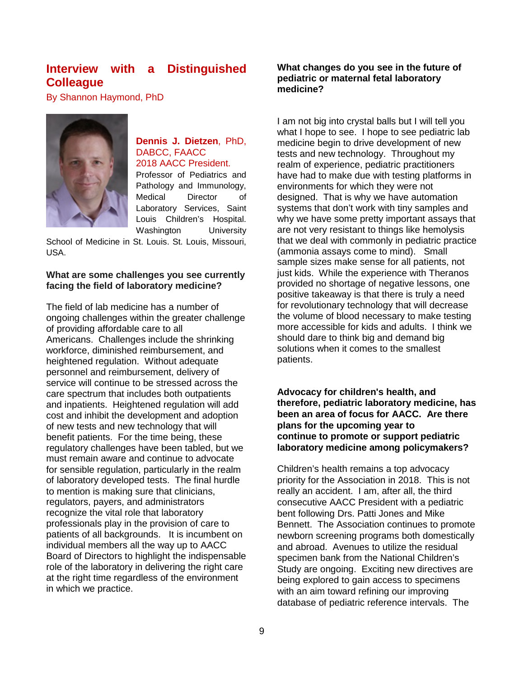## **Interview with a Distinguished Colleague**

By Shannon Haymond, PhD



### **Dennis J. Dietzen**, PhD, DABCC, FAACC 2018 AACC President.

Professor of Pediatrics and Pathology and Immunology, Medical Director of Laboratory Services, Saint Louis Children's Hospital. Washington University

School of Medicine in St. Louis. St. Louis, Missouri, USA.

### **What are some challenges you see currently facing the field of laboratory medicine?**

The field of lab medicine has a number of ongoing challenges within the greater challenge of providing affordable care to all Americans. Challenges include the shrinking workforce, diminished reimbursement, and heightened regulation. Without adequate personnel and reimbursement, delivery of service will continue to be stressed across the care spectrum that includes both outpatients and inpatients. Heightened regulation will add cost and inhibit the development and adoption of new tests and new technology that will benefit patients. For the time being, these regulatory challenges have been tabled, but we must remain aware and continue to advocate for sensible regulation, particularly in the realm of laboratory developed tests. The final hurdle to mention is making sure that clinicians, regulators, payers, and administrators recognize the vital role that laboratory professionals play in the provision of care to patients of all backgrounds. It is incumbent on individual members all the way up to AACC Board of Directors to highlight the indispensable role of the laboratory in delivering the right care at the right time regardless of the environment in which we practice.

### **What changes do you see in the future of pediatric or maternal fetal laboratory medicine?**

I am not big into crystal balls but I will tell you what I hope to see. I hope to see pediatric lab medicine begin to drive development of new tests and new technology. Throughout my realm of experience, pediatric practitioners have had to make due with testing platforms in environments for which they were not designed. That is why we have automation systems that don't work with tiny samples and why we have some pretty important assays that are not very resistant to things like hemolysis that we deal with commonly in pediatric practice (ammonia assays come to mind). Small sample sizes make sense for all patients, not just kids. While the experience with Theranos provided no shortage of negative lessons, one positive takeaway is that there is truly a need for revolutionary technology that will decrease the volume of blood necessary to make testing more accessible for kids and adults. I think we should dare to think big and demand big solutions when it comes to the smallest patients.

**Advocacy for children's health, and therefore, pediatric laboratory medicine, has been an area of focus for AACC. Are there plans for the upcoming year to continue to promote or support pediatric laboratory medicine among policymakers?**

Children's health remains a top advocacy priority for the Association in 2018. This is not really an accident. I am, after all, the third consecutive AACC President with a pediatric bent following Drs. Patti Jones and Mike Bennett. The Association continues to promote newborn screening programs both domestically and abroad. Avenues to utilize the residual specimen bank from the National Children's Study are ongoing. Exciting new directives are being explored to gain access to specimens with an aim toward refining our improving database of pediatric reference intervals. The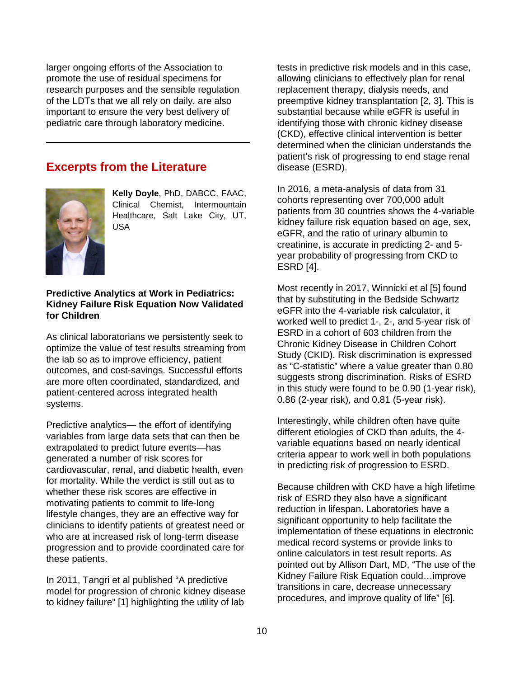larger ongoing efforts of the Association to promote the use of residual specimens for research purposes and the sensible regulation of the LDTs that we all rely on daily, are also important to ensure the very best delivery of pediatric care through laboratory medicine.

## **Excerpts from the Literature**



**Kelly Doyle**, PhD, DABCC, FAAC, Clinical Chemist, Intermountain Healthcare, Salt Lake City, UT, USA

### **Predictive Analytics at Work in Pediatrics: Kidney Failure Risk Equation Now Validated for Children**

As clinical laboratorians we persistently seek to optimize the value of test results streaming from the lab so as to improve efficiency, patient outcomes, and cost-savings. Successful efforts are more often coordinated, standardized, and patient-centered across integrated health systems.

Predictive analytics— the effort of identifying variables from large data sets that can then be extrapolated to predict future events—has generated a number of risk scores for cardiovascular, renal, and diabetic health, even for mortality. While the verdict is still out as to whether these risk scores are effective in motivating patients to commit to life-long lifestyle changes, they are an effective way for clinicians to identify patients of greatest need or who are at increased risk of long-term disease progression and to provide coordinated care for these patients.

In 2011, Tangri et al published "A predictive model for progression of chronic kidney disease to kidney failure" [1] highlighting the utility of lab

tests in predictive risk models and in this case, allowing clinicians to effectively plan for renal replacement therapy, dialysis needs, and preemptive kidney transplantation [2, 3]. This is substantial because while eGFR is useful in identifying those with chronic kidney disease (CKD), effective clinical intervention is better determined when the clinician understands the patient's risk of progressing to end stage renal disease (ESRD).

In 2016, a meta-analysis of data from 31 cohorts representing over 700,000 adult patients from 30 countries shows the 4-variable kidney failure risk equation based on age, sex, eGFR, and the ratio of urinary albumin to creatinine, is accurate in predicting 2- and 5 year probability of progressing from CKD to ESRD [4].

Most recently in 2017, Winnicki et al [5] found that by substituting in the Bedside Schwartz eGFR into the 4-variable risk calculator, it worked well to predict 1-, 2-, and 5-year risk of ESRD in a cohort of 603 children from the Chronic Kidney Disease in Children Cohort Study (CKID). Risk discrimination is expressed as "C-statistic" where a value greater than 0.80 suggests strong discrimination. Risks of ESRD in this study were found to be 0.90 (1-year risk), 0.86 (2-year risk), and 0.81 (5-year risk).

Interestingly, while children often have quite different etiologies of CKD than adults, the 4 variable equations based on nearly identical criteria appear to work well in both populations in predicting risk of progression to ESRD.

Because children with CKD have a high lifetime risk of ESRD they also have a significant reduction in lifespan. Laboratories have a significant opportunity to help facilitate the implementation of these equations in electronic medical record systems or provide links to online calculators in test result reports. As pointed out by Allison Dart, MD, "The use of the Kidney Failure Risk Equation could…improve transitions in care, decrease unnecessary procedures, and improve quality of life" [6].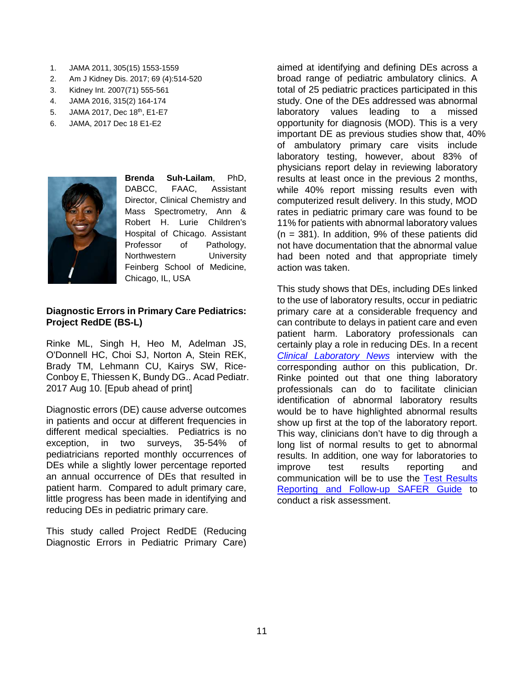- 1. JAMA 2011, 305(15) 1553-1559
- 2. Am J Kidney Dis. 2017; 69 (4):514-520
- 3. Kidney Int. 2007(71) 555-561
- 4. JAMA 2016, 315(2) 164-174
- 5. JAMA 2017, Dec 18<sup>th</sup>, E1-E7
- 6. JAMA, 2017 Dec 18 E1-E2



**Brenda Suh-Lailam**, PhD, DABCC, FAAC, Assistant Director, Clinical Chemistry and Mass Spectrometry, Ann & Robert H. Lurie Children's Hospital of Chicago. Assistant Professor of Pathology, Northwestern University Feinberg School of Medicine, Chicago, IL, USA

### **Diagnostic Errors in Primary Care Pediatrics: Project RedDE (BS-L)**

Rinke ML, Singh H, Heo M, Adelman JS, O'Donnell HC, Choi SJ, Norton A, Stein REK, Brady TM, Lehmann CU, Kairys SW, Rice-Conboy E, Thiessen K, Bundy DG.. Acad Pediatr. 2017 Aug 10. [Epub ahead of print]

Diagnostic errors (DE) cause adverse outcomes in patients and occur at different frequencies in different medical specialties. Pediatrics is no exception, in two surveys, 35-54% of pediatricians reported monthly occurrences of DEs while a slightly lower percentage reported an annual occurrence of DEs that resulted in patient harm. Compared to adult primary care, little progress has been made in identifying and reducing DEs in pediatric primary care.

This study called Project RedDE (Reducing Diagnostic Errors in Pediatric Primary Care) aimed at identifying and defining DEs across a broad range of pediatric ambulatory clinics. A total of 25 pediatric practices participated in this study. One of the DEs addressed was abnormal laboratory values leading to a missed opportunity for diagnosis (MOD). This is a very important DE as previous studies show that, 40% of ambulatory primary care visits include laboratory testing, however, about 83% of physicians report delay in reviewing laboratory results at least once in the previous 2 months, while 40% report missing results even with computerized result delivery. In this study, MOD rates in pediatric primary care was found to be 11% for patients with abnormal laboratory values  $(n = 381)$ . In addition, 9% of these patients did not have documentation that the abnormal value had been noted and that appropriate timely action was taken.

This study shows that DEs, including DEs linked to the use of laboratory results, occur in pediatric primary care at a considerable frequency and can contribute to delays in patient care and even patient harm. Laboratory professionals can certainly play a role in reducing DEs. In a recent *[Clinical Laboratory News](https://www.aacc.org/publications/cln/cln-stat/2018/january/4/close-up-on-pediatric-related-diagnostic-errors)* interview with the corresponding author on this publication, Dr. Rinke pointed out that one thing laboratory professionals can do to facilitate clinician identification of abnormal laboratory results would be to have highlighted abnormal results show up first at the top of the laboratory report. This way, clinicians don't have to dig through a long list of normal results to get to abnormal results. In addition, one way for laboratories to improve test results reporting and communication will be to use the [Test Results](https://www.healthit.gov/safer/guide/sg008)  [Reporting and Follow-up SAFER Guide](https://www.healthit.gov/safer/guide/sg008) to conduct a risk assessment.